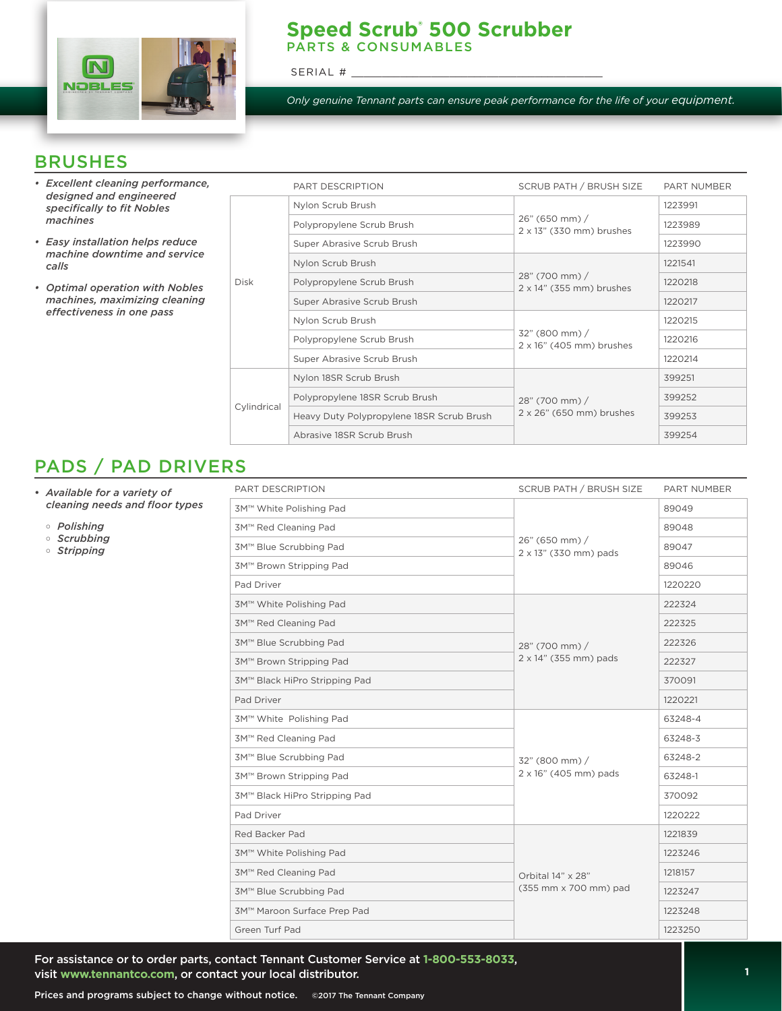

#### **Speed Scrub® 500 Scrubber**  PARTS & CONSUMABLES

SERIAL #

*Only genuine Tennant parts can ensure peak performance for the life of your equipment.*

### BRUSHES

- *• Excellent cleaning performance, designed and engineered specifically to fit Nobles machines*
- *• Easy installation helps reduce machine downtime and service calls*
- *• Optimal operation with Nobles machines, maximizing cleaning effectiveness in one pass*

|             | PART DESCRIPTION                          | SCRUB PATH / BRUSH SIZE                            | <b>PART NUMBER</b> |
|-------------|-------------------------------------------|----------------------------------------------------|--------------------|
| <b>Disk</b> | Nylon Scrub Brush                         |                                                    | 1223991            |
|             | Polypropylene Scrub Brush                 | 26" (650 mm) /<br>$2 \times 13$ " (330 mm) brushes | 1223989            |
|             | Super Abrasive Scrub Brush                |                                                    | 1223990            |
|             | Nylon Scrub Brush                         |                                                    | 1221541            |
|             | Polypropylene Scrub Brush                 | 28" (700 mm) /<br>$2 \times 14$ " (355 mm) brushes | 1220218            |
|             | Super Abrasive Scrub Brush                |                                                    | 1220217            |
|             | Nylon Scrub Brush                         |                                                    | 1220215            |
|             | Polypropylene Scrub Brush                 | 32" (800 mm) /<br>$2 \times 16$ " (405 mm) brushes | 1220216            |
|             | Super Abrasive Scrub Brush                |                                                    | 1220214            |
| Cylindrical | Nylon 18SR Scrub Brush                    |                                                    | 399251             |
|             | Polypropylene 18SR Scrub Brush            | 28" (700 mm) /                                     | 399252             |
|             | Heavy Duty Polypropylene 18SR Scrub Brush | 2 x 26" (650 mm) brushes                           | 399253             |
|             | Abrasive 18SR Scrub Brush                 |                                                    | 399254             |

## PADS / PAD DRIVERS

- *• Available for a variety of cleaning needs and floor types*
	- *Polishing*
	- *Scrubbing*
	- *Stripping*

| PART DESCRIPTION              | <b>SCRUB PATH / BRUSH SIZE</b>             | PART NUMBER |
|-------------------------------|--------------------------------------------|-------------|
| 3M™ White Polishing Pad       | 26" (650 mm) /<br>2 x 13" (330 mm) pads    | 89049       |
| 3M™ Red Cleaning Pad          |                                            | 89048       |
| 3M™ Blue Scrubbing Pad        |                                            | 89047       |
| 3M™ Brown Stripping Pad       |                                            | 89046       |
| Pad Driver                    |                                            | 1220220     |
| 3M™ White Polishing Pad       |                                            | 222324      |
| 3M™ Red Cleaning Pad          | 28" (700 mm) /                             | 222325      |
| 3M™ Blue Scrubbing Pad        |                                            | 222326      |
| 3M™ Brown Stripping Pad       | 2 x 14" (355 mm) pads                      | 222327      |
| 3M™ Black HiPro Stripping Pad |                                            | 370091      |
| Pad Driver                    |                                            | 1220221     |
| 3M™ White Polishing Pad       |                                            | 63248-4     |
| 3M™ Red Cleaning Pad          |                                            | 63248-3     |
| 3M™ Blue Scrubbing Pad        | 32" (800 mm) /                             | 63248-2     |
| 3M™ Brown Stripping Pad       | 2 x 16" (405 mm) pads                      | 63248-1     |
| 3M™ Black HiPro Stripping Pad |                                            | 370092      |
| Pad Driver                    |                                            | 1220222     |
| Red Backer Pad                |                                            | 1221839     |
| 3M™ White Polishing Pad       | Orbital 14" x 28"<br>(355 mm x 700 mm) pad | 1223246     |
| 3M™ Red Cleaning Pad          |                                            | 1218157     |
| 3M™ Blue Scrubbing Pad        |                                            | 1223247     |
| 3M™ Maroon Surface Prep Pad   |                                            | 1223248     |
| Green Turf Pad                |                                            | 1223250     |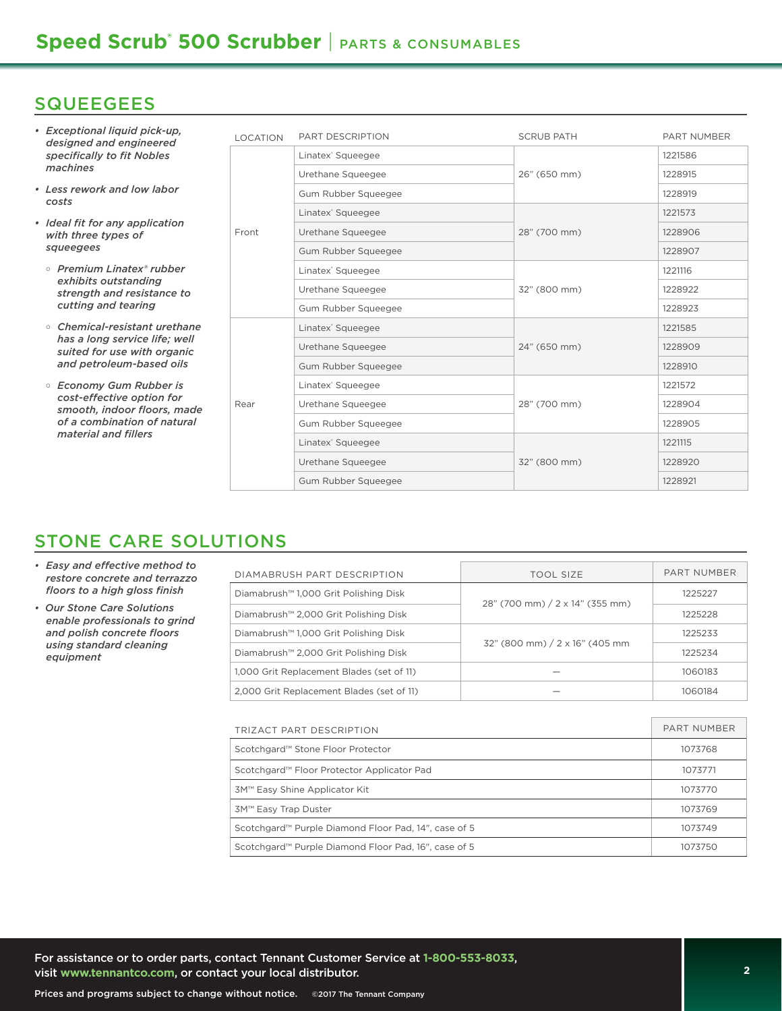### **SQUEEGEES**

- *• Exceptional liquid pick-up, designed and engineered specifically to fit Nobles machines*
- *Less rework and low labor costs*
- *• Ideal fit for any application with three types of squeegees*
	- *Premium Linatex® rubber exhibits outstanding strength and resistance to cutting and tearing*
	- *Chemical-resistant urethane has a long service life; well suited for use with organic and petroleum-based oils*
	- *Economy Gum Rubber is cost-effective option for smooth, indoor floors, made of a combination of natural material and fillers*

| <b>LOCATION</b> | PART DESCRIPTION              | <b>SCRUB PATH</b> | <b>PART NUMBER</b> |
|-----------------|-------------------------------|-------------------|--------------------|
|                 | Linatex <sup>®</sup> Squeegee |                   | 1221586            |
|                 | Urethane Squeegee             | 26" (650 mm)      | 1228915            |
|                 | Gum Rubber Squeegee           |                   | 1228919            |
|                 | Linatex <sup>®</sup> Squeegee | 28" (700 mm)      | 1221573            |
| Front           | Urethane Squeegee             |                   | 1228906            |
|                 | Gum Rubber Squeegee           |                   | 1228907            |
|                 | Linatex <sup>®</sup> Squeegee | 32" (800 mm)      | 1221116            |
|                 | Urethane Squeegee             |                   | 1228922            |
|                 | Gum Rubber Squeegee           |                   | 1228923            |
|                 | Linatex <sup>®</sup> Squeegee | 24" (650 mm)      | 1221585            |
|                 | Urethane Squeegee             |                   | 1228909            |
|                 | Gum Rubber Squeegee           |                   | 1228910            |
|                 | Linatex <sup>®</sup> Squeegee | 28" (700 mm)      | 1221572            |
| Rear            | Urethane Squeegee             |                   | 1228904            |
|                 | Gum Rubber Squeegee           |                   | 1228905            |
|                 | Linatex <sup>®</sup> Squeegee |                   | 1221115            |
|                 | Urethane Squeegee             | 32" (800 mm)      | 1228920            |
|                 | Gum Rubber Squeegee           |                   | 1228921            |

## STONE CARE SOLUTIONS

- *• Easy and effective method to restore concrete and terrazzo floors to a high gloss finish*
- *Our Stone Care Solutions enable professionals to grind and polish concrete floors using standard cleaning equipment*

| DIAMABRUSH PART DESCRIPTION                       | <b>TOOL SIZE</b>                | PART NUMBER |  |
|---------------------------------------------------|---------------------------------|-------------|--|
| Diamabrush <sup>™</sup> 1,000 Grit Polishing Disk | 28" (700 mm) / 2 x 14" (355 mm) | 1225227     |  |
| Diamabrush <sup>™</sup> 2,000 Grit Polishing Disk |                                 | 1225228     |  |
| Diamabrush <sup>™</sup> 1,000 Grit Polishing Disk |                                 | 1225233     |  |
| Diamabrush <sup>™</sup> 2,000 Grit Polishing Disk | 32" (800 mm) / 2 x 16" (405 mm  | 1225234     |  |
| 1,000 Grit Replacement Blades (set of 11)         |                                 | 1060183     |  |
| 2.000 Grit Replacement Blades (set of 11)         |                                 | 1060184     |  |

| TRIZACT PART DESCRIPTION                                         | PART NUMBER |
|------------------------------------------------------------------|-------------|
| Scotchgard™ Stone Floor Protector                                | 1073768     |
| Scotchgard™ Floor Protector Applicator Pad                       | 1073771     |
| 3M™ Easy Shine Applicator Kit                                    | 1073770     |
| 3M™ Easy Trap Duster                                             | 1073769     |
| Scotchgard <sup>™</sup> Purple Diamond Floor Pad, 14", case of 5 | 1073749     |
| Scotchgard <sup>™</sup> Purple Diamond Floor Pad, 16", case of 5 | 1073750     |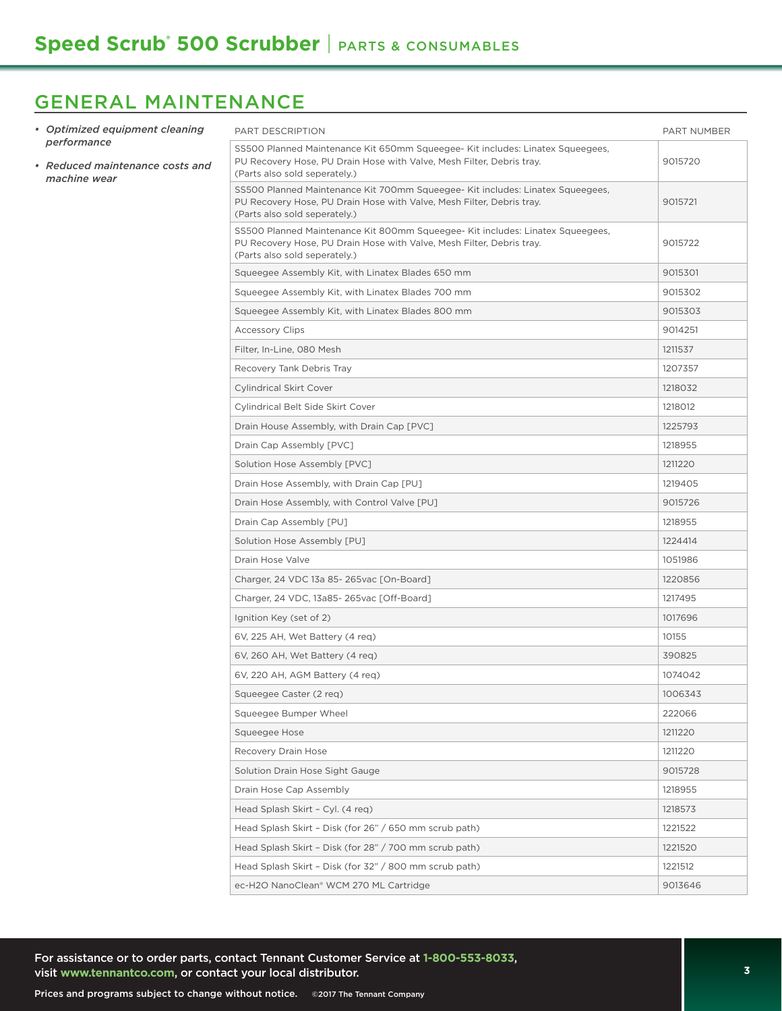# GENERAL MAINTENANCE

| • Optimized equipment cleaning                                 | PART DESCRIPTION                                                                                                                                                                         | PART NUMBER |
|----------------------------------------------------------------|------------------------------------------------------------------------------------------------------------------------------------------------------------------------------------------|-------------|
| performance<br>• Reduced maintenance costs and<br>machine wear | SS500 Planned Maintenance Kit 650mm Squeegee- Kit includes: Linatex Squeegees,<br>PU Recovery Hose, PU Drain Hose with Valve, Mesh Filter, Debris tray.<br>(Parts also sold seperately.) | 9015720     |
|                                                                | SS500 Planned Maintenance Kit 700mm Squeegee- Kit includes: Linatex Squeegees,<br>PU Recovery Hose, PU Drain Hose with Valve, Mesh Filter, Debris tray.<br>(Parts also sold seperately.) | 9015721     |
|                                                                | SS500 Planned Maintenance Kit 800mm Squeegee- Kit includes: Linatex Squeegees,<br>PU Recovery Hose, PU Drain Hose with Valve, Mesh Filter, Debris tray.<br>(Parts also sold seperately.) | 9015722     |
|                                                                | Squeegee Assembly Kit, with Linatex Blades 650 mm                                                                                                                                        | 9015301     |
|                                                                | Squeegee Assembly Kit, with Linatex Blades 700 mm                                                                                                                                        | 9015302     |
|                                                                | Squeegee Assembly Kit, with Linatex Blades 800 mm                                                                                                                                        | 9015303     |
|                                                                | <b>Accessory Clips</b>                                                                                                                                                                   | 9014251     |
|                                                                | Filter, In-Line, 080 Mesh                                                                                                                                                                | 1211537     |
|                                                                | Recovery Tank Debris Tray                                                                                                                                                                | 1207357     |
|                                                                | <b>Cylindrical Skirt Cover</b>                                                                                                                                                           | 1218032     |
|                                                                | Cylindrical Belt Side Skirt Cover                                                                                                                                                        | 1218012     |
|                                                                | Drain House Assembly, with Drain Cap [PVC]                                                                                                                                               | 1225793     |
|                                                                | Drain Cap Assembly [PVC]                                                                                                                                                                 | 1218955     |
|                                                                | Solution Hose Assembly [PVC]                                                                                                                                                             | 1211220     |
|                                                                | Drain Hose Assembly, with Drain Cap [PU]                                                                                                                                                 | 1219405     |
|                                                                | Drain Hose Assembly, with Control Valve [PU]                                                                                                                                             | 9015726     |
|                                                                | Drain Cap Assembly [PU]                                                                                                                                                                  | 1218955     |
|                                                                | Solution Hose Assembly [PU]                                                                                                                                                              | 1224414     |
|                                                                | Drain Hose Valve                                                                                                                                                                         | 1051986     |
|                                                                | Charger, 24 VDC 13a 85-265vac [On-Board]                                                                                                                                                 | 1220856     |
|                                                                | Charger, 24 VDC, 13a85-265vac [Off-Board]                                                                                                                                                | 1217495     |
|                                                                | Ignition Key (set of 2)                                                                                                                                                                  | 1017696     |
|                                                                | 6V, 225 AH, Wet Battery (4 reg)                                                                                                                                                          | 10155       |
|                                                                | 6V, 260 AH, Wet Battery (4 reg)                                                                                                                                                          | 390825      |
|                                                                | 6V, 220 AH, AGM Battery (4 req)                                                                                                                                                          | 1074042     |
|                                                                | Squeegee Caster (2 req)                                                                                                                                                                  | 1006343     |
|                                                                | Squeegee Bumper Wheel                                                                                                                                                                    | 222066      |
|                                                                | Squeegee Hose                                                                                                                                                                            | 1211220     |
|                                                                | Recovery Drain Hose                                                                                                                                                                      | 1211220     |
|                                                                | Solution Drain Hose Sight Gauge                                                                                                                                                          | 9015728     |
|                                                                | Drain Hose Cap Assembly                                                                                                                                                                  | 1218955     |
|                                                                | Head Splash Skirt - Cyl. (4 req)                                                                                                                                                         | 1218573     |
|                                                                | Head Splash Skirt - Disk (for 26" / 650 mm scrub path)                                                                                                                                   | 1221522     |
|                                                                | Head Splash Skirt - Disk (for 28" / 700 mm scrub path)                                                                                                                                   | 1221520     |
|                                                                | Head Splash Skirt - Disk (for 32" / 800 mm scrub path)                                                                                                                                   | 1221512     |
|                                                                | ec-H2O NanoClean® WCM 270 ML Cartridge                                                                                                                                                   | 9013646     |